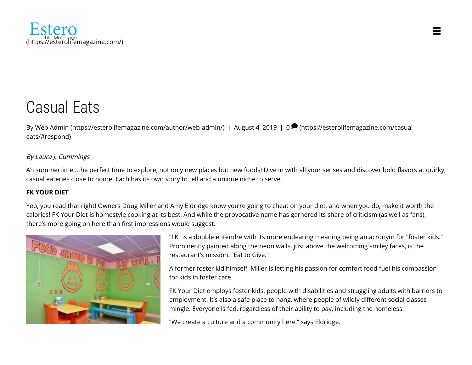

# Casual Eats

[By W](#page-3-0)[eb Admin \(https://esterolifemagazine.com/author/web-admin/\)](https://esterolifemagazine.com/author/web-admin/) [| August 4, 2019 | 0](#page-3-0)  $\blacktriangleright$  (https://esterolifemagazine.com/casualeats/#respond)

## By Laura J. Cummings

Ah summertime...the perfect time to explore, not only new places but new foods! Dive in with all your senses and discover bold flavors at quirky, casual eateries close to home. Each has its own story to tell and a unique niche to serve.

## **FK YOUR DIET**

Yep, you read that right! Owners Doug Miller and Amy Eldridge know you're going to cheat on your diet, and when you do, make it worth the calories! FK Your Diet is homestyle cooking at its best. And while the provocative name has garnered its share of criticism (as well as fans), there's more going on here than first impressions would suggest.



"FK" is a double entendre with its more endearing meaning being an acronym for "foster kids." Prominently painted along the neon walls, just above the welcoming smiley faces, is the restaurant's mission: "Eat to Give."

A former foster kid himself, Miller is letting his passion for comfort food fuel his compassion for kids in foster care.

FK Your Diet employs foster kids, people with disabilities and struggling adults with barriers to employment. It's also a safe place to hang, where people of wildly different social classes mingle. Everyone is fed, regardless of their ability to pay, including the homeless.

"We create a culture and a community here," says Eldridge.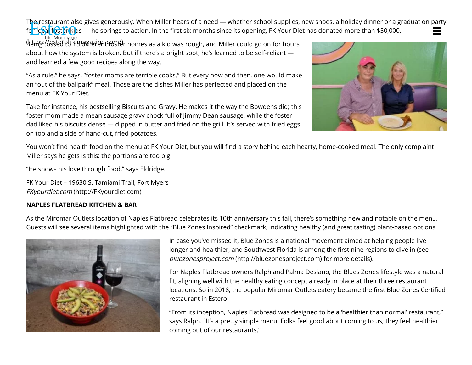The restaurant also gives generously. When Miller hears of a need — whether school supplies, new shoes, a holiday dinner or a graduation party [for local foster kids — he springs t](https://esterolifemagazine.com/)o action. In the first six months since its opening, FK Your Diet has donated more than \$50,000.<br>Life Moggzine

 $b$ ຢ‡ሐූ //esεed የሀ†ኖፓብ#በ2፡leჩtና የታያለ $\ell$ r homes as a kid was rough, and Miller could go on for hours about how the system is broken. But if there's a bright spot, he's learned to be self-reliant and learned a few good recipes along the way.

"As a rule," he says, "foster moms are terrible cooks." But every now and then, one would make an "out of the ballpark" meal. Those are the dishes Miller has perfected and placed on the menu at FK Your Diet.

Take for instance, his bestselling Biscuits and Gravy. He makes it the way the Bowdens did; this foster mom made a mean sausage gravy chock full of Jimmy Dean sausage, while the foster dad liked his biscuits dense — dipped in butter and fried on the grill. It's served with fried eggs on top and a side of hand-cut, fried potatoes.



You won't find health food on the menu at FK Your Diet, but you will find a story behind each hearty, home-cooked meal. The only complaint Miller says he gets is this: the portions are too big!

"He shows his love through food," says Eldridge.

FK Your Diet – 19630 S. Tamiami Trail, Fort Myers FKyourdiet.com [\(http://FKyourdiet.com\)](http://fkyourdiet.com/)

## **NAPLES FLATBREAD KITCHEN & BAR**

As the Miromar Outlets location of Naples Flatbread celebrates its 10th anniversary this fall, there's something new and notable on the menu. Guests will see several items highlighted with the "Blue Zones Inspired" checkmark, indicating healthy (and great tasting) plant-based options.



In case you've missed it, Blue Zones is a national movement aimed at helping people live longer and healthier, and Southwest Florida is among the first nine regions to dive in (see bluezonesproject.com [\(http://bluezonesproject.com\)](http://bluezonesproject.com/) for more details).

For Naples Flatbread owners Ralph and Palma Desiano, the Blues Zones lifestyle was a natural fit, aligning well with the healthy eating concept already in place at their three restaurant locations. So in 2018, the popular Miromar Outlets eatery became the first Blue Zones Certified restaurant in Estero.

"From its inception, Naples Flatbread was designed to be a 'healthier than normal' restaurant," says Ralph. "It's a pretty simple menu. Folks feel good about coming to us; they feel healthier coming out of our restaurants."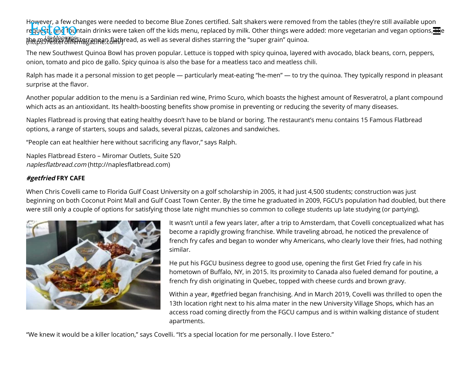However, a few changes were needed to become Blue Zones certified. Salt shakers were removed from the tables (they're still available upon [request\), and fountain drinks were](https://esterolifemagazine.com/) taken off the kids menu, replaced by milk. Other things were added: more vegetarian and vegan options,  $\frac{1}{100}$ th<del>ቢ</del>ps\$ፇ፟ቔ፝ጟ፝ቔኇ፝፝፟፟፟*M*editerzanfer ป็ลthread, as well as several dishes starring the "super grain" quinoa.<br>.

The new Southwest Quinoa Bowl has proven popular. Lettuce is topped with spicy quinoa, layered with avocado, black beans, corn, peppers, onion, tomato and pico de gallo. Spicy quinoa is also the base for a meatless taco and meatless chili.

Ralph has made it a personal mission to get people — particularly meat-eating "he-men" — to try the quinoa. They typically respond in pleasant surprise at the flavor.

Another popular addition to the menu is a Sardinian red wine, Primo Scuro, which boasts the highest amount of Resveratrol, a plant compound which acts as an antioxidant. Its health-boosting benefits show promise in preventing or reducing the severity of many diseases.

Naples Flatbread is proving that eating healthy doesn't have to be bland or boring. The restaurant's menu contains 15 Famous Flatbread options, a range of starters, soups and salads, several pizzas, calzones and sandwiches.

"People can eat healthier here without sacrificing any flavor," says Ralph.

Naples Flatbread Estero – Miromar Outlets, Suite 520 naplesflatbread.com (http://naplesflatbread.com)

#### **#getfried FRY CAFE**

When Chris Covelli came to Florida Gulf Coast University on a golf scholarship in 2005, it had just 4,500 students; construction was just beginning on both Coconut Point Mall and Gulf Coast Town Center. By the time he graduated in 2009, FGCU's population had doubled, but there were still only a couple of options for satisfying those late night munchies so common to college students up late studying (or partying).



It wasn't until a few years later, after a trip to Amsterdam, that Covelli conceptualized what has become a rapidly growing franchise. While traveling abroad, he noticed the prevalence of french fry cafes and began to wonder why Americans, who clearly love their fries, had nothing similar.

He put his FGCU business degree to good use, opening the first Get Fried fry cafe in his hometown of Buffalo, NY, in 2015. Its proximity to Canada also fueled demand for poutine, a french fry dish originating in Quebec, topped with cheese curds and brown gravy.

Within a year, #getfried began franchising. And in March 2019, Covelli was thrilled to open the 13th location right next to his alma mater in the new University Village Shops, which has an access road coming directly from the FGCU campus and is within walking distance of student apartments.

"We knew it would be a killer location," says Covelli. "It's a special location for me personally. I love Estero."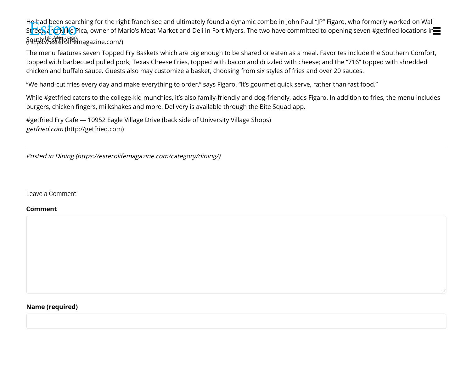He had been searching for the right franchisee and ultimately found a dynamic combo in John Paul "JP" Figaro, who formerly worked on Wall Street, and Nike Pica, owner of Mario's Meat Market and Deli in Fort Myers. The two have committed to opening seven #getfried locations in Southwest Florida. (https://esterolifemagazine.com/)

The menu features seven Topped Fry Baskets which are big enough to be shared or eaten as a meal. Favorites include the Southern Comfort, topped with barbecued pulled pork; Texas Cheese Fries, topped with bacon and drizzled with cheese; and the "716" topped with shredded chicken and buffalo sauce. Guests also may customize a basket, choosing from six styles of fries and over 20 sauces.

"We hand-cut fries every day and make everything to order," says Figaro. "It's gourmet quick serve, rather than fast food."

While #getfried caters to the college-kid munchies, it's also family-friendly and dog-friendly, adds Figaro. In addition to fries, the menu includes burgers, chicken fingers, milkshakes and more. Delivery is available through the Bite Squad app.

#getfried Fry Cafe — 10952 Eagle Village Drive (back side of University Village Shops) getfried.com [\(http://getfried.com\)](http://getfried.com/)

Posted in [Dining \(https://esterolifemagazine.com/category/dining/\)](https://esterolifemagazine.com/category/dining/)

<span id="page-3-0"></span>Leave a Comment

#### **Comment**

#### **Name (required)**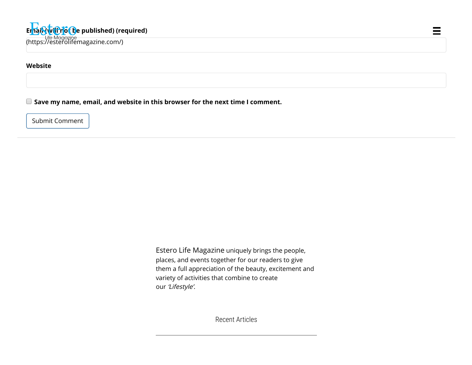**Website**

**Save my name, email, and website in this browser for the next time I comment.**

Submit Comment

Estero Life Magazine uniquely brings the people, places, and events together for our readers to give them a full appreciation of the beauty, excitement and variety of activities that combine to create our 'Lifestyle'.

 $\equiv$ 

Recent Articles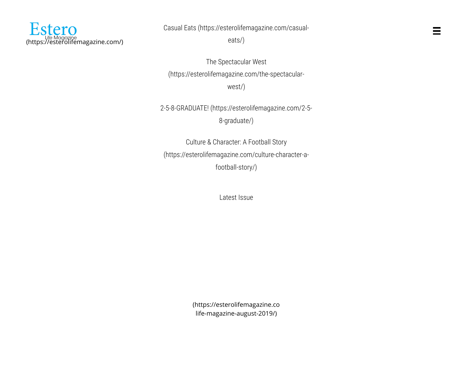

[Casual Eats \(https://esterolifemagazine.com/casual-](https://esterolifemagazine.com/casual-eats/)

eats/)

The Spectacular West [\(https://esterolifemagazine.com/the-spectacular](https://esterolifemagazine.com/the-spectacular-west/)west/)

[2-5-8-GRADUATE! \(https://esterolifemagazine.com/2-5-](https://esterolifemagazine.com/2-5-8-graduate/) 8-graduate/)

Culture & Character: A Football Story [\(https://esterolifemagazine.com/culture-character-a](https://esterolifemagazine.com/culture-character-a-football-story/)football-story/)

Latest Issue

[\(https://esterolifemagazine.co](https://esterolifemagazine.com/estero-life-magazine-august-2019/) life-magazine-august-2019/)